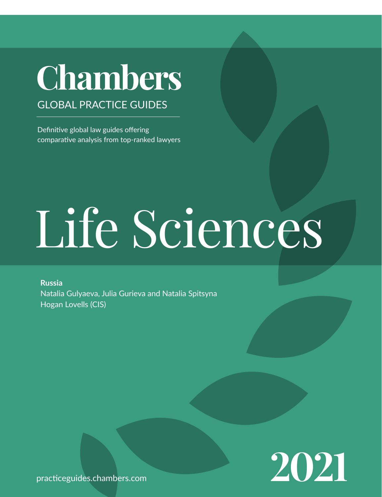## **Chambers**

GLOBAL PRACTICE GUIDES

Definitive global law guides offering comparative analysis from top-ranked lawyers

# Life Sciences

**Russia** Natalia Gulyaeva, Julia Gurieva and Natalia Spitsyna Hogan Lovells (CIS)



[practiceguides.chambers.com](http://practiceguides.chambers.com)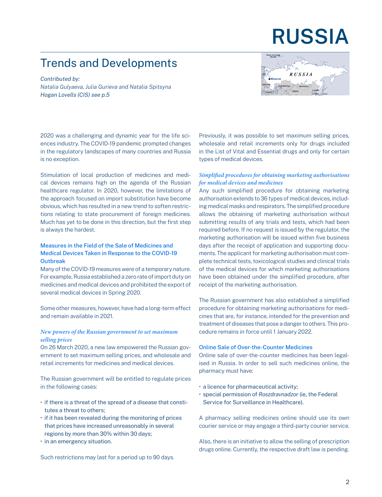### **RUSSIA**

#### Trends and Developments

*Contributed by: Natalia Gulyaeva, Julia Gurieva and Natalia Spitsyna Hogan Lovells (CIS[\) see p.5](#page-4-0)*



2020 was a challenging and dynamic year for the life sciences industry. The COVID-19 pandemic prompted changes in the regulatory landscapes of many countries and Russia is no exception.

Stimulation of local production of medicines and medical devices remains high on the agenda of the Russian healthcare regulator. In 2020, however, the limitations of the approach focused on import substitution have become obvious, which has resulted in a new trend to soften restrictions relating to state procurement of foreign medicines. Much has yet to be done in this direction, but the first step is always the hardest.

#### Measures in the Field of the Sale of Medicines and Medical Devices Taken in Response to the COVID-19 **Outbreak**

Many of the COVID-19 measures were of a temporary nature. For example, Russia established a zero rate of import duty on medicines and medical devices and prohibited the export of several medical devices in Spring 2020.

Some other measures, however, have had a long-term effect and remain available in 2021.

#### *New powers of the Russian government to set maximum selling prices*

On 26 March 2020, a new law empowered the Russian government to set maximum selling prices, and wholesale and retail increments for medicines and medical devices.

The Russian government will be entitled to regulate prices in the following cases:

- if there is a threat of the spread of a disease that constitutes a threat to others;
- if it has been revealed during the monitoring of prices that prices have increased unreasonably in several regions by more than 30% within 30 days;
- in an emergency situation.

Such restrictions may last for a period up to 90 days.

Previously, it was possible to set maximum selling prices, wholesale and retail increments only for drugs included in the List of Vital and Essential drugs and only for certain types of medical devices.

#### *Simplified procedures for obtaining marketing authorisations for medical devices and medicines*

Any such simplified procedure for obtaining marketing authorisation extends to 36 types of medical devices, including medical masks and respirators. The simplified procedure allows the obtaining of marketing authorisation without submitting results of any trials and tests, which had been required before. If no request is issued by the regulator, the marketing authorisation will be issued within five business days after the receipt of application and supporting documents. The applicant for marketing authorisation must complete technical tests, toxicological studies and clinical trials of the medical devices for which marketing authorisations have been obtained under the simplified procedure, after receipt of the marketing authorisation.

The Russian government has also established a simplified procedure for obtaining marketing authorisations for medicines that are, for instance, intended for the prevention and treatment of diseases that pose a danger to others. This procedure remains in force until 1 January 2022.

#### Online Sale of Over-the-Counter Medicines

Online sale of over-the-counter medicines has been legalised in Russia. In order to sell such medicines online, the pharmacy must have:

- a licence for pharmaceutical activity;
- special permission of *Roszdravnadzor* (ie, the Federal Service for Surveillance in Healthcare).

A pharmacy selling medicines online should use its own courier service or may engage a third-party courier service.

Also, there is an initiative to allow the selling of prescription drugs online. Currently, the respective draft law is pending.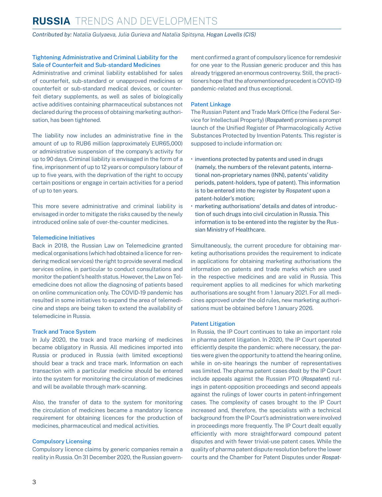#### **RUSSIA** Trends and Developments

*Contributed by: Natalia Gulyaeva, Julia Gurieva and Natalia Spitsyna, Hogan Lovells (CIS)*

#### Tightening Administrative and Criminal Liability for the Sale of Counterfeit and Sub-standard Medicines

Administrative and criminal liability established for sales of counterfeit, sub-standard or unapproved medicines or counterfeit or sub-standard medical devices, or counterfeit dietary supplements, as well as sales of biologically active additives containing pharmaceutical substances not declared during the process of obtaining marketing authorisation, has been tightened.

The liability now includes an administrative fine in the amount of up to RUB6 million (approximately EUR65,000) or administrative suspension of the company's activity for up to 90 days. Criminal liability is envisaged in the form of a fine, imprisonment of up to 12 years or compulsory labour of up to five years, with the deprivation of the right to occupy certain positions or engage in certain activities for a period of up to ten years.

This more severe administrative and criminal liability is envisaged in order to mitigate the risks caused by the newly introduced online sale of over-the-counter medicines.

#### Telemedicine Initiatives

Back in 2018, the Russian Law on Telemedicine granted medical organisations (which had obtained a licence for rendering medical services) the right to provide several medical services online, in particular to conduct consultations and monitor the patient's health status. However, the Law on Telemedicine does not allow the diagnosing of patients based on online communication only. The COVID-19 pandemic has resulted in some initiatives to expand the area of telemedicine and steps are being taken to extend the availability of telemedicine in Russia.

#### Track and Trace System

In July 2020, the track and trace marking of medicines became obligatory in Russia. All medicines imported into Russia or produced in Russia (with limited exceptions) should bear a track and trace mark. Information on each transaction with a particular medicine should be entered into the system for monitoring the circulation of medicines and will be available through mark-scanning.

Also, the transfer of data to the system for monitoring the circulation of medicines became a mandatory licence requirement for obtaining licences for the production of medicines, pharmaceutical and medical activities.

#### Compulsory Licensing

Compulsory licence claims by generic companies remain a reality in Russia. On 31 December 2020, the Russian government confirmed a grant of compulsory licence for remdesivir for one year to the Russian generic producer and this has already triggered an enormous controversy. Still, the practitioners hope that the aforementioned precedent is COVID-19 pandemic-related and thus exceptional.

#### Patent Linkage

The Russian Patent and Trade Mark Office (the Federal Service for Intellectual Property) (*Rospatent*) promises a prompt launch of the Unified Register of Pharmacologically Active Substances Protected by Invention Patents. This register is supposed to include information on:

- inventions protected by patents and used in drugs (namely, the numbers of the relevant patents, international non-proprietary names (INN), patents' validity periods, patent-holders, type of patent). This information is to be entered into the register by *Rospatent* upon a patent-holder's motion;
- marketing authorisations' details and dates of introduction of such drugs into civil circulation in Russia. This information is to be entered into the register by the Russian Ministry of Healthcare.

Simultaneously, the current procedure for obtaining marketing authorisations provides the requirement to indicate in applications for obtaining marketing authorisations the information on patents and trade marks which are used in the respective medicines and are valid in Russia. This requirement applies to all medicines for which marketing authorisations are sought from 1 January 2021. For all medicines approved under the old rules, new marketing authorisations must be obtained before 1 January 2026.

#### Patent Litigation

In Russia, the IP Court continues to take an important role in pharma patent litigation. In 2020, the IP Court operated efficiently despite the pandemic: where necessary, the parties were given the opportunity to attend the hearing online, while in on-site hearings the number of representatives was limited. The pharma patent cases dealt by the IP Court include appeals against the Russian PTO (*Rospatent*) rulings in patent-opposition proceedings and second appeals against the rulings of lower courts in patent-infringement cases. The complexity of cases brought to the IP Court increased and, therefore, the specialists with a technical background from the IP Court's administration were involved in proceedings more frequently. The IP Court dealt equally efficiently with more straightforward compound patent disputes and with fewer trivial-use patent cases. While the quality of pharma patent dispute resolution before the lower courts and the Chamber for Patent Disputes under *Rospat-*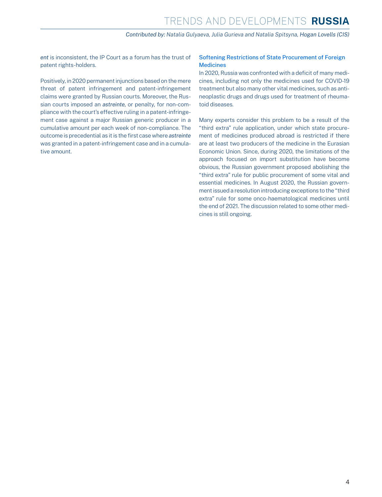*Contributed by: Natalia Gulyaeva, Julia Gurieva and Natalia Spitsyna, Hogan Lovells (CIS)*

*ent* is inconsistent, the IP Court as a forum has the trust of patent rights-holders.

Positively, in 2020 permanent injunctions based on the mere threat of patent infringement and patent-infringement claims were granted by Russian courts. Moreover, the Russian courts imposed an *astreinte,* or penalty, for non-compliance with the court's effective ruling in a patent-infringement case against a major Russian generic producer in a cumulative amount per each week of non-compliance. The outcome is precedential as it is the first case where *astreinte* was granted in a patent-infringement case and in a cumulative amount.

#### Softening Restrictions of State Procurement of Foreign **Medicines**

In 2020, Russia was confronted with a deficit of many medicines, including not only the medicines used for COVID-19 treatment but also many other vital medicines, such as antineoplastic drugs and drugs used for treatment of rheumatoid diseases.

Many experts consider this problem to be a result of the "third extra" rule application, under which state procurement of medicines produced abroad is restricted if there are at least two producers of the medicine in the Eurasian Economic Union. Since, during 2020, the limitations of the approach focused on import substitution have become obvious, the Russian government proposed abolishing the "third extra" rule for public procurement of some vital and essential medicines. In August 2020, the Russian government issued a resolution introducing exceptions to the "third extra" rule for some onco-haematological medicines until the end of 2021. The discussion related to some other medicines is still ongoing.